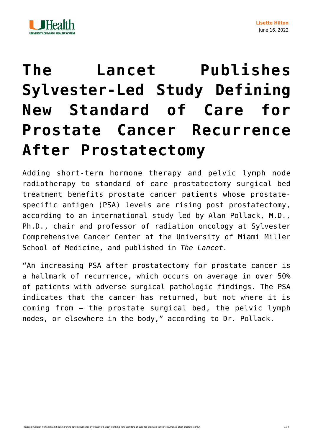



## **[The Lancet Publishes](https://physician-news.umiamihealth.org/the-lancet-publishes-sylvester-led-study-defining-new-standard-of-care-for-prostate-cancer-recurrence-after-prostatectomy/) [Sylvester-Led Study Defining](https://physician-news.umiamihealth.org/the-lancet-publishes-sylvester-led-study-defining-new-standard-of-care-for-prostate-cancer-recurrence-after-prostatectomy/) [New Standard of Care for](https://physician-news.umiamihealth.org/the-lancet-publishes-sylvester-led-study-defining-new-standard-of-care-for-prostate-cancer-recurrence-after-prostatectomy/) [Prostate Cancer Recurrence](https://physician-news.umiamihealth.org/the-lancet-publishes-sylvester-led-study-defining-new-standard-of-care-for-prostate-cancer-recurrence-after-prostatectomy/) [After Prostatectomy](https://physician-news.umiamihealth.org/the-lancet-publishes-sylvester-led-study-defining-new-standard-of-care-for-prostate-cancer-recurrence-after-prostatectomy/)**

Adding short-term hormone therapy and pelvic lymph node radiotherapy to standard of care prostatectomy surgical bed treatment benefits prostate cancer patients whose prostatespecific antigen (PSA) levels are rising post prostatectomy, according to an international study led by Alan Pollack, M.D., Ph.D., chair and professor of radiation oncology at Sylvester Comprehensive Cancer Center at the University of Miami Miller School of Medicine, and published in *[The Lancet](https://www.thelancet.com/journals/lancet/article/PIIS0140-6736(21)01790-6/fulltext).*

"An increasing PSA after prostatectomy for prostate cancer is a hallmark of recurrence, which occurs on average in over 50% of patients with adverse surgical pathologic findings. The PSA indicates that the cancer has returned, but not where it is coming from — the prostate surgical bed, the pelvic lymph nodes, or elsewhere in the body," according to Dr. Pollack.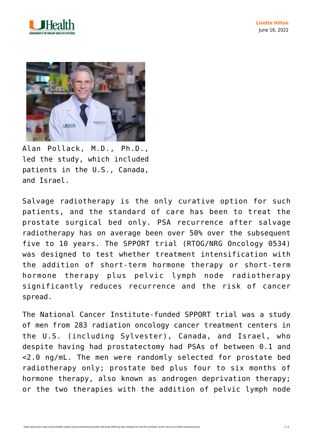



Alan Pollack, M.D., Ph.D., led the study, which included patients in the U.S., Canada, and Israel.

Salvage radiotherapy is the only curative option for such patients, and the standard of care has been to treat the prostate surgical bed only. PSA recurrence after salvage radiotherapy has on average been over 50% over the subsequent five to 10 years. The SPPORT trial (RTOG/NRG Oncology 0534) was designed to test whether treatment intensification with the addition of short-term hormone therapy or short-term hormone therapy plus pelvic lymph node radiotherapy significantly reduces recurrence and the risk of cancer spread.

The National Cancer Institute-funded SPPORT trial was a study of men from 283 radiation oncology cancer treatment centers in the U.S. (including Sylvester), Canada, and Israel, who despite having had prostatectomy had PSAs of between 0.1 and <2.0 ng/mL. The men were randomly selected for prostate bed radiotherapy only; prostate bed plus four to six months of hormone therapy, also known as androgen deprivation therapy; or the two therapies with the addition of pelvic lymph node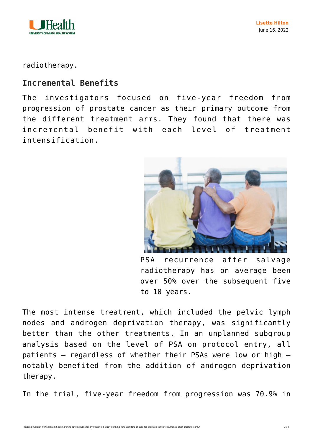

radiotherapy.

## **Incremental Benefits**

The investigators focused on five-year freedom from progression of prostate cancer as their primary outcome from the different treatment arms. They found that there was incremental benefit with each level of treatment intensification.



PSA recurrence after salvage radiotherapy has on average been over 50% over the subsequent five to 10 years.

The most intense treatment, which included the pelvic lymph nodes and androgen deprivation therapy, was significantly better than the other treatments. In an unplanned subgroup analysis based on the level of PSA on protocol entry, all patients — regardless of whether their PSAs were low or high notably benefited from the addition of androgen deprivation therapy.

In the trial, five-year freedom from progression was 70.9% in